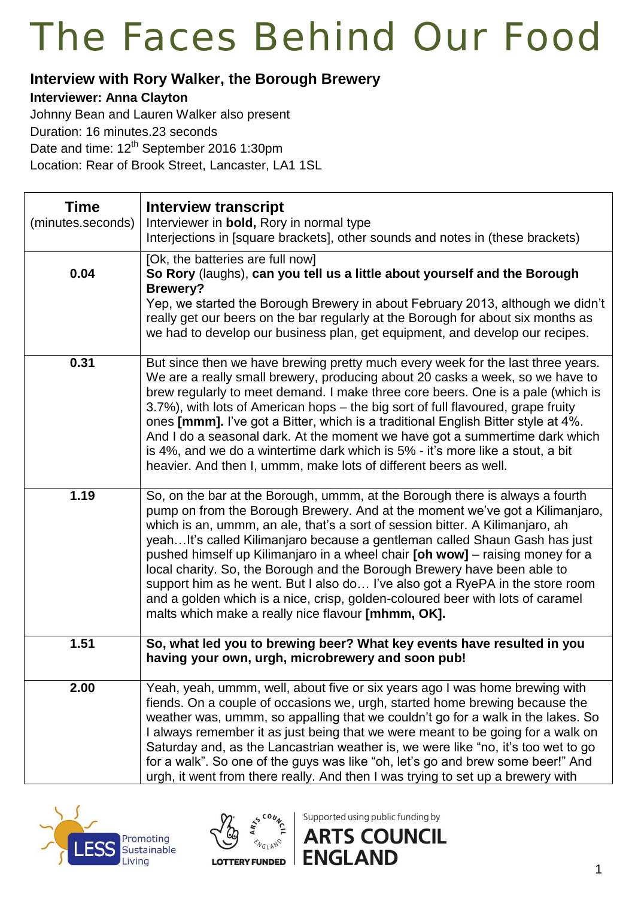#### **Interview with Rory Walker, the Borough Brewery**

#### **Interviewer: Anna Clayton**

Johnny Bean and Lauren Walker also present Duration: 16 minutes.23 seconds

Date and time: 12<sup>th</sup> September 2016 1:30pm

Location: Rear of Brook Street, Lancaster, LA1 1SL

| <b>Time</b><br>(minutes.seconds) | <b>Interview transcript</b><br>Interviewer in bold, Rory in normal type<br>Interjections in [square brackets], other sounds and notes in (these brackets)                                                                                                                                                                                                                                                                                                                                                                                                                                                                                                                                                         |
|----------------------------------|-------------------------------------------------------------------------------------------------------------------------------------------------------------------------------------------------------------------------------------------------------------------------------------------------------------------------------------------------------------------------------------------------------------------------------------------------------------------------------------------------------------------------------------------------------------------------------------------------------------------------------------------------------------------------------------------------------------------|
| 0.04                             | [Ok, the batteries are full now]<br>So Rory (laughs), can you tell us a little about yourself and the Borough<br><b>Brewery?</b><br>Yep, we started the Borough Brewery in about February 2013, although we didn't<br>really get our beers on the bar regularly at the Borough for about six months as<br>we had to develop our business plan, get equipment, and develop our recipes.                                                                                                                                                                                                                                                                                                                            |
| 0.31                             | But since then we have brewing pretty much every week for the last three years.<br>We are a really small brewery, producing about 20 casks a week, so we have to<br>brew regularly to meet demand. I make three core beers. One is a pale (which is<br>3.7%), with lots of American hops – the big sort of full flavoured, grape fruity<br>ones [mmm]. I've got a Bitter, which is a traditional English Bitter style at 4%.<br>And I do a seasonal dark. At the moment we have got a summertime dark which<br>is 4%, and we do a wintertime dark which is 5% - it's more like a stout, a bit<br>heavier. And then I, ummm, make lots of different beers as well.                                                 |
| 1.19                             | So, on the bar at the Borough, ummm, at the Borough there is always a fourth<br>pump on from the Borough Brewery. And at the moment we've got a Kilimanjaro,<br>which is an, ummm, an ale, that's a sort of session bitter. A Kilimanjaro, ah<br>yeahIt's called Kilimanjaro because a gentleman called Shaun Gash has just<br>pushed himself up Kilimanjaro in a wheel chair [oh wow] – raising money for a<br>local charity. So, the Borough and the Borough Brewery have been able to<br>support him as he went. But I also do I've also got a RyePA in the store room<br>and a golden which is a nice, crisp, golden-coloured beer with lots of caramel<br>malts which make a really nice flavour [mhmm, OK]. |
| 1.51                             | So, what led you to brewing beer? What key events have resulted in you<br>having your own, urgh, microbrewery and soon pub!                                                                                                                                                                                                                                                                                                                                                                                                                                                                                                                                                                                       |
| 2.00                             | Yeah, yeah, ummm, well, about five or six years ago I was home brewing with<br>fiends. On a couple of occasions we, urgh, started home brewing because the<br>weather was, ummm, so appalling that we couldn't go for a walk in the lakes. So<br>I always remember it as just being that we were meant to be going for a walk on<br>Saturday and, as the Lancastrian weather is, we were like "no, it's too wet to go<br>for a walk". So one of the guys was like "oh, let's go and brew some beer!" And<br>urgh, it went from there really. And then I was trying to set up a brewery with                                                                                                                       |





Supported using public funding by

**ENGLAND** 

**ARTS COUNCIL**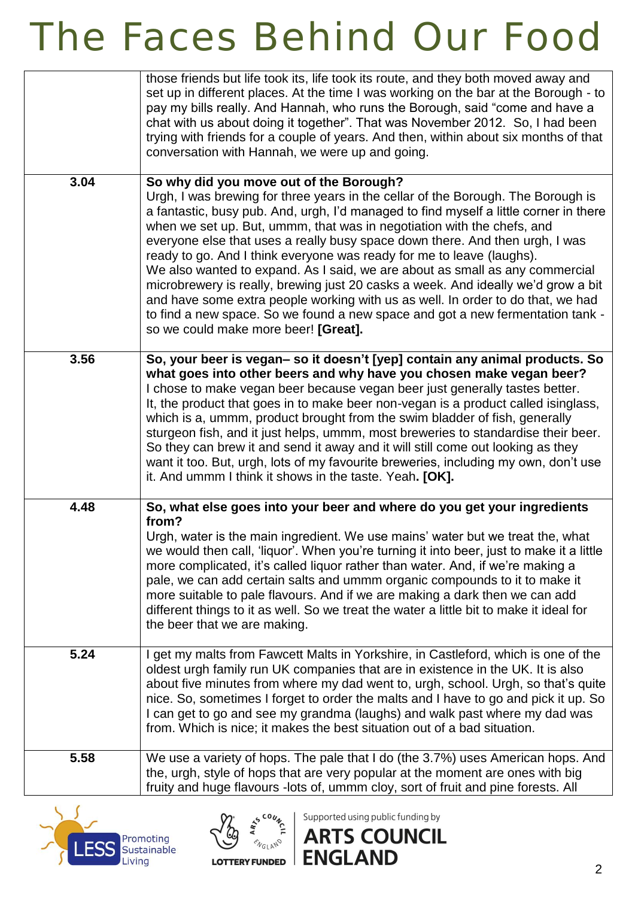|      | those friends but life took its, life took its route, and they both moved away and<br>set up in different places. At the time I was working on the bar at the Borough - to<br>pay my bills really. And Hannah, who runs the Borough, said "come and have a<br>chat with us about doing it together". That was November 2012. So, I had been<br>trying with friends for a couple of years. And then, within about six months of that<br>conversation with Hannah, we were up and going.                                                                                                                                                                                                                                                                                                                                                    |
|------|-------------------------------------------------------------------------------------------------------------------------------------------------------------------------------------------------------------------------------------------------------------------------------------------------------------------------------------------------------------------------------------------------------------------------------------------------------------------------------------------------------------------------------------------------------------------------------------------------------------------------------------------------------------------------------------------------------------------------------------------------------------------------------------------------------------------------------------------|
| 3.04 | So why did you move out of the Borough?<br>Urgh, I was brewing for three years in the cellar of the Borough. The Borough is<br>a fantastic, busy pub. And, urgh, I'd managed to find myself a little corner in there<br>when we set up. But, ummm, that was in negotiation with the chefs, and<br>everyone else that uses a really busy space down there. And then urgh, I was<br>ready to go. And I think everyone was ready for me to leave (laughs).<br>We also wanted to expand. As I said, we are about as small as any commercial<br>microbrewery is really, brewing just 20 casks a week. And ideally we'd grow a bit<br>and have some extra people working with us as well. In order to do that, we had<br>to find a new space. So we found a new space and got a new fermentation tank -<br>so we could make more beer! [Great]. |
| 3.56 | So, your beer is vegan- so it doesn't [yep] contain any animal products. So<br>what goes into other beers and why have you chosen make vegan beer?<br>I chose to make vegan beer because vegan beer just generally tastes better.<br>It, the product that goes in to make beer non-vegan is a product called isinglass,<br>which is a, ummm, product brought from the swim bladder of fish, generally<br>sturgeon fish, and it just helps, ummm, most breweries to standardise their beer.<br>So they can brew it and send it away and it will still come out looking as they<br>want it too. But, urgh, lots of my favourite breweries, including my own, don't use<br>it. And ummm I think it shows in the taste. Yeah. [OK].                                                                                                           |
| 4.48 | So, what else goes into your beer and where do you get your ingredients<br>from?<br>Urgh, water is the main ingredient. We use mains' water but we treat the, what<br>we would then call, 'liquor'. When you're turning it into beer, just to make it a little<br>more complicated, it's called liquor rather than water. And, if we're making a<br>pale, we can add certain salts and ummm organic compounds to it to make it<br>more suitable to pale flavours. And if we are making a dark then we can add<br>different things to it as well. So we treat the water a little bit to make it ideal for<br>the beer that we are making.                                                                                                                                                                                                  |
| 5.24 | I get my malts from Fawcett Malts in Yorkshire, in Castleford, which is one of the<br>oldest urgh family run UK companies that are in existence in the UK. It is also<br>about five minutes from where my dad went to, urgh, school. Urgh, so that's quite<br>nice. So, sometimes I forget to order the malts and I have to go and pick it up. So<br>I can get to go and see my grandma (laughs) and walk past where my dad was<br>from. Which is nice; it makes the best situation out of a bad situation.                                                                                                                                                                                                                                                                                                                               |
| 5.58 | We use a variety of hops. The pale that I do (the 3.7%) uses American hops. And<br>the, urgh, style of hops that are very popular at the moment are ones with big<br>fruity and huge flavours -lots of, ummm cloy, sort of fruit and pine forests. All                                                                                                                                                                                                                                                                                                                                                                                                                                                                                                                                                                                    |





Supported using public funding by **ARTS COUNCIL**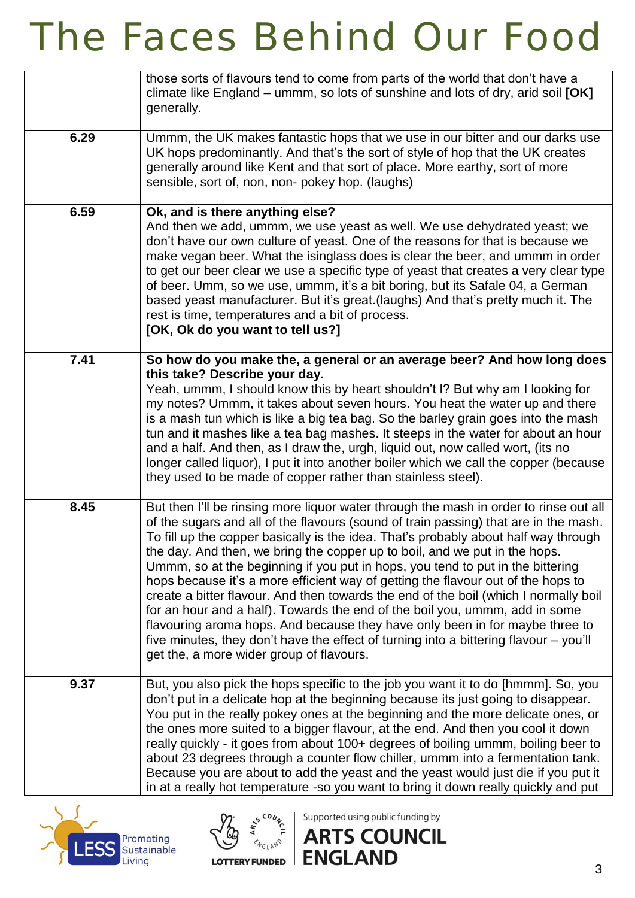|      | those sorts of flavours tend to come from parts of the world that don't have a<br>climate like England – ummm, so lots of sunshine and lots of dry, arid soil [OK]<br>generally.                                                                                                                                                                                                                                                                                                                                                                                                                                                                                                                                                                                                                                                                                                                                     |
|------|----------------------------------------------------------------------------------------------------------------------------------------------------------------------------------------------------------------------------------------------------------------------------------------------------------------------------------------------------------------------------------------------------------------------------------------------------------------------------------------------------------------------------------------------------------------------------------------------------------------------------------------------------------------------------------------------------------------------------------------------------------------------------------------------------------------------------------------------------------------------------------------------------------------------|
| 6.29 | Ummm, the UK makes fantastic hops that we use in our bitter and our darks use<br>UK hops predominantly. And that's the sort of style of hop that the UK creates<br>generally around like Kent and that sort of place. More earthy, sort of more<br>sensible, sort of, non, non- pokey hop. (laughs)                                                                                                                                                                                                                                                                                                                                                                                                                                                                                                                                                                                                                  |
| 6.59 | Ok, and is there anything else?<br>And then we add, ummm, we use yeast as well. We use dehydrated yeast; we<br>don't have our own culture of yeast. One of the reasons for that is because we<br>make vegan beer. What the isinglass does is clear the beer, and ummm in order<br>to get our beer clear we use a specific type of yeast that creates a very clear type<br>of beer. Umm, so we use, ummm, it's a bit boring, but its Safale 04, a German<br>based yeast manufacturer. But it's great. (laughs) And that's pretty much it. The<br>rest is time, temperatures and a bit of process.<br>[OK, Ok do you want to tell us?]                                                                                                                                                                                                                                                                                 |
| 7.41 | So how do you make the, a general or an average beer? And how long does<br>this take? Describe your day.<br>Yeah, ummm, I should know this by heart shouldn't I? But why am I looking for<br>my notes? Ummm, it takes about seven hours. You heat the water up and there<br>is a mash tun which is like a big tea bag. So the barley grain goes into the mash<br>tun and it mashes like a tea bag mashes. It steeps in the water for about an hour<br>and a half. And then, as I draw the, urgh, liquid out, now called wort, (its no<br>longer called liquor), I put it into another boiler which we call the copper (because<br>they used to be made of copper rather than stainless steel).                                                                                                                                                                                                                       |
| 8.45 | But then I'll be rinsing more liquor water through the mash in order to rinse out all<br>of the sugars and all of the flavours (sound of train passing) that are in the mash.<br>To fill up the copper basically is the idea. That's probably about half way through<br>the day. And then, we bring the copper up to boil, and we put in the hops.<br>Ummm, so at the beginning if you put in hops, you tend to put in the bittering<br>hops because it's a more efficient way of getting the flavour out of the hops to<br>create a bitter flavour. And then towards the end of the boil (which I normally boil<br>for an hour and a half). Towards the end of the boil you, ummm, add in some<br>flavouring aroma hops. And because they have only been in for maybe three to<br>five minutes, they don't have the effect of turning into a bittering flavour – you'll<br>get the, a more wider group of flavours. |
| 9.37 | But, you also pick the hops specific to the job you want it to do [hmmm]. So, you<br>don't put in a delicate hop at the beginning because its just going to disappear.<br>You put in the really pokey ones at the beginning and the more delicate ones, or<br>the ones more suited to a bigger flavour, at the end. And then you cool it down<br>really quickly - it goes from about 100+ degrees of boiling ummm, boiling beer to<br>about 23 degrees through a counter flow chiller, ummm into a fermentation tank.<br>Because you are about to add the yeast and the yeast would just die if you put it<br>in at a really hot temperature -so you want to bring it down really quickly and put                                                                                                                                                                                                                    |





Supported using public funding by

**ARTS COUNCIL**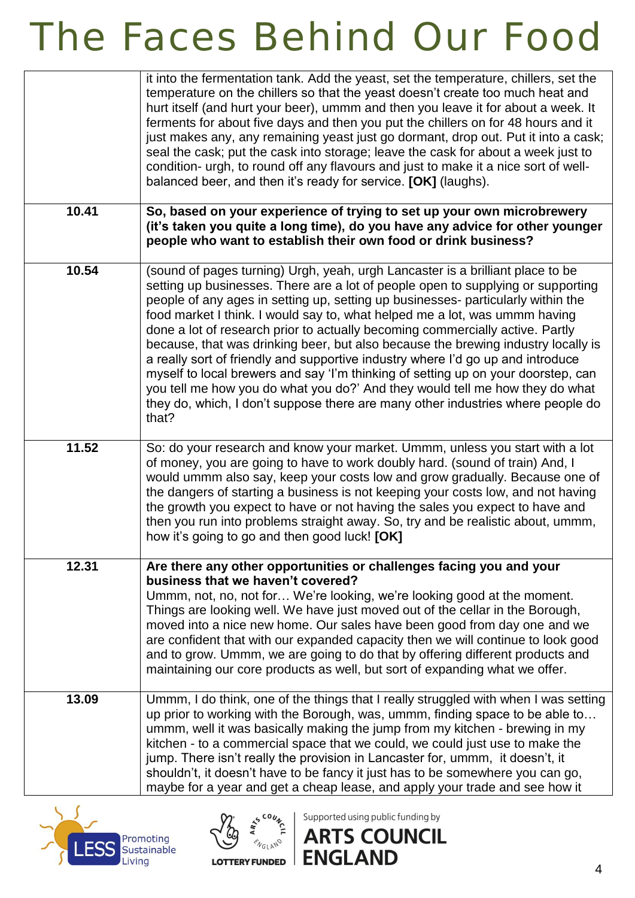|       | it into the fermentation tank. Add the yeast, set the temperature, chillers, set the<br>temperature on the chillers so that the yeast doesn't create too much heat and<br>hurt itself (and hurt your beer), ummm and then you leave it for about a week. It<br>ferments for about five days and then you put the chillers on for 48 hours and it<br>just makes any, any remaining yeast just go dormant, drop out. Put it into a cask;<br>seal the cask; put the cask into storage; leave the cask for about a week just to<br>condition- urgh, to round off any flavours and just to make it a nice sort of well-<br>balanced beer, and then it's ready for service. [OK] (laughs).                                                                                                                                                                           |
|-------|----------------------------------------------------------------------------------------------------------------------------------------------------------------------------------------------------------------------------------------------------------------------------------------------------------------------------------------------------------------------------------------------------------------------------------------------------------------------------------------------------------------------------------------------------------------------------------------------------------------------------------------------------------------------------------------------------------------------------------------------------------------------------------------------------------------------------------------------------------------|
| 10.41 | So, based on your experience of trying to set up your own microbrewery<br>(it's taken you quite a long time), do you have any advice for other younger<br>people who want to establish their own food or drink business?                                                                                                                                                                                                                                                                                                                                                                                                                                                                                                                                                                                                                                       |
| 10.54 | (sound of pages turning) Urgh, yeah, urgh Lancaster is a brilliant place to be<br>setting up businesses. There are a lot of people open to supplying or supporting<br>people of any ages in setting up, setting up businesses- particularly within the<br>food market I think. I would say to, what helped me a lot, was ummm having<br>done a lot of research prior to actually becoming commercially active. Partly<br>because, that was drinking beer, but also because the brewing industry locally is<br>a really sort of friendly and supportive industry where I'd go up and introduce<br>myself to local brewers and say 'I'm thinking of setting up on your doorstep, can<br>you tell me how you do what you do?' And they would tell me how they do what<br>they do, which, I don't suppose there are many other industries where people do<br>that? |
| 11.52 | So: do your research and know your market. Ummm, unless you start with a lot<br>of money, you are going to have to work doubly hard. (sound of train) And, I<br>would ummm also say, keep your costs low and grow gradually. Because one of<br>the dangers of starting a business is not keeping your costs low, and not having<br>the growth you expect to have or not having the sales you expect to have and<br>then you run into problems straight away. So, try and be realistic about, ummm,<br>how it's going to go and then good luck! [OK]                                                                                                                                                                                                                                                                                                            |
| 12.31 | Are there any other opportunities or challenges facing you and your<br>business that we haven't covered?<br>Ummm, not, no, not for We're looking, we're looking good at the moment.<br>Things are looking well. We have just moved out of the cellar in the Borough,<br>moved into a nice new home. Our sales have been good from day one and we<br>are confident that with our expanded capacity then we will continue to look good<br>and to grow. Ummm, we are going to do that by offering different products and<br>maintaining our core products as well, but sort of expanding what we offer.                                                                                                                                                                                                                                                           |
| 13.09 | Ummm, I do think, one of the things that I really struggled with when I was setting<br>up prior to working with the Borough, was, ummm, finding space to be able to<br>ummm, well it was basically making the jump from my kitchen - brewing in my<br>kitchen - to a commercial space that we could, we could just use to make the<br>jump. There isn't really the provision in Lancaster for, ummm, it doesn't, it<br>shouldn't, it doesn't have to be fancy it just has to be somewhere you can go,<br>maybe for a year and get a cheap lease, and apply your trade and see how it                                                                                                                                                                                                                                                                           |





Supported using public funding by

**ARTS COUNCIL**